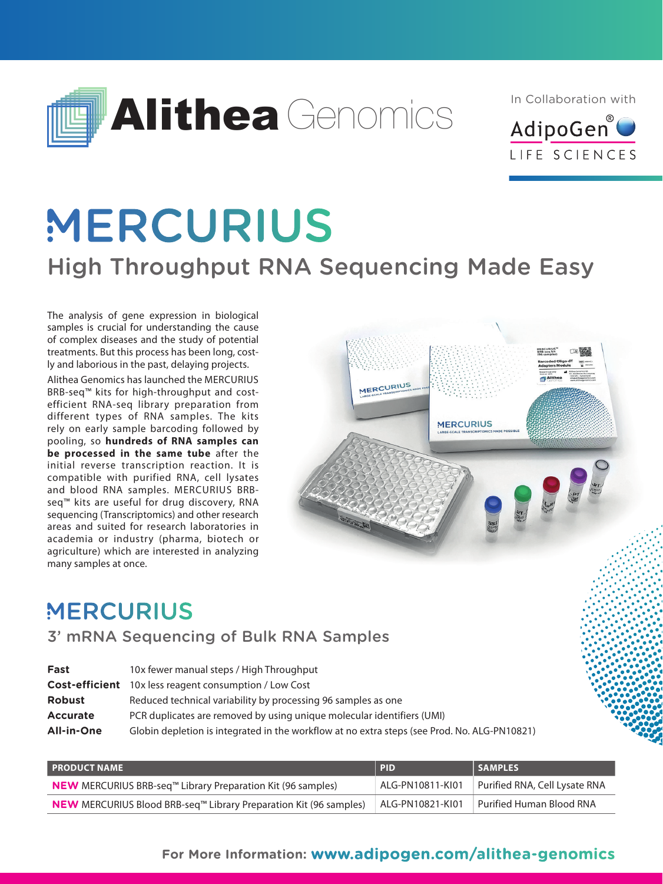

In Collaboration with



# **MERCURIUS** High Throughput RNA Sequencing Made Easy

The analysis of gene expression in biological samples is crucial for understanding the cause of complex diseases and the study of potential treatments. But this process has been long, costly and laborious in the past, delaying projects.

Alithea Genomics has launched the MERCURIUS BRB-seq™ kits for high-throughput and costefficient RNA-seq library preparation from different types of RNA samples. The kits rely on early sample barcoding followed by pooling, so **hundreds of RNA samples can be processed in the same tube** after the initial reverse transcription reaction. It is compatible with purified RNA, cell lysates and blood RNA samples. MERCURIUS BRBseq™ kits are useful for drug discovery, RNA sequencing (Transcriptomics) and other research areas and suited for research laboratories in academia or industry (pharma, biotech or agriculture) which are interested in analyzing many samples at once.



# **MERCURIUS**

## 3' mRNA Sequencing of Bulk RNA Samples

| Globin depletion is integrated in the workflow at no extra steps (see Prod. No. ALG-PN10821) |
|----------------------------------------------------------------------------------------------|
|                                                                                              |

| <b>I PRODUCT NAME</b>                                                                       | <b>PID</b>       | <b>SAMPLES</b>                |
|---------------------------------------------------------------------------------------------|------------------|-------------------------------|
| <b>NEW</b> MERCURIUS BRB-seq <sup><math>m</math></sup> Library Preparation Kit (96 samples) | ALG-PN10811-KI01 | Purified RNA, Cell Lysate RNA |
| <b>NEW</b> MERCURIUS Blood BRB-seq <sup>™</sup> Library Preparation Kit (96 samples)        | ALG-PN10821-KI01 | Purified Human Blood RNA      |

## **For More Information: www.adipogen.com/alithea-genomics**